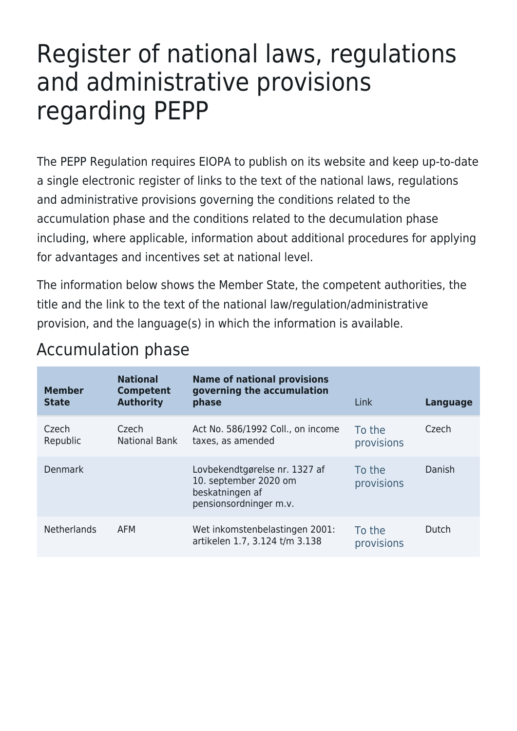# Register of national laws, regulations and administrative provisions regarding PEPP

The PEPP Regulation requires EIOPA to publish on its website and keep up-to-date a single electronic register of links to the text of the national laws, regulations and administrative provisions governing the conditions related to the accumulation phase and the conditions related to the decumulation phase including, where applicable, information about additional procedures for applying for advantages and incentives set at national level.

The information below shows the Member State, the competent authorities, the title and the link to the text of the national law/regulation/administrative provision, and the language(s) in which the information is available.

| <b>Member</b><br><b>State</b> | <b>National</b><br><b>Competent</b><br><b>Authority</b> | <b>Name of national provisions</b><br>governing the accumulation<br>phase                           | Link                 | Language |
|-------------------------------|---------------------------------------------------------|-----------------------------------------------------------------------------------------------------|----------------------|----------|
| Czech<br>Republic             | Czech<br><b>National Bank</b>                           | Act No. 586/1992 Coll., on income<br>taxes, as amended                                              | To the<br>provisions | Czech    |
| <b>Denmark</b>                |                                                         | Lovbekendtgørelse nr. 1327 af<br>10. september 2020 om<br>beskatningen af<br>pensionsordninger m.v. | To the<br>provisions | Danish   |
| <b>Netherlands</b>            | <b>AFM</b>                                              | Wet inkomstenbelastingen 2001:<br>artikelen 1.7, 3.124 t/m 3.138                                    | To the<br>provisions | Dutch    |

#### Accumulation phase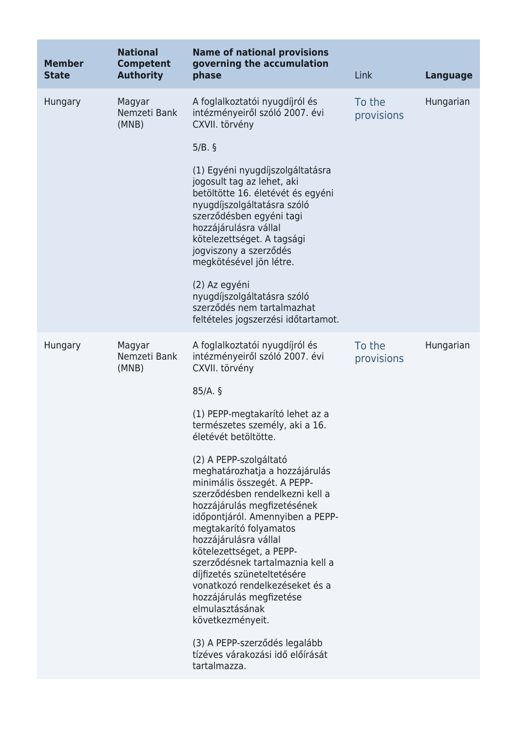| <b>Member</b><br><b>State</b> | <b>National</b><br><b>Competent</b><br><b>Authority</b> | <b>Name of national provisions</b><br>governing the accumulation<br>phase                                                                                                                                                                                                                                                                                                                                                                            | Link                 | <b>Language</b> |
|-------------------------------|---------------------------------------------------------|------------------------------------------------------------------------------------------------------------------------------------------------------------------------------------------------------------------------------------------------------------------------------------------------------------------------------------------------------------------------------------------------------------------------------------------------------|----------------------|-----------------|
| Hungary                       | Magyar<br>Nemzeti Bank<br>(MNB)                         | A foglalkoztatói nyugdíjról és<br>intézményeiről szóló 2007. évi<br>CXVII. törvény                                                                                                                                                                                                                                                                                                                                                                   | To the<br>provisions | Hungarian       |
|                               |                                                         | $5/B.$ §                                                                                                                                                                                                                                                                                                                                                                                                                                             |                      |                 |
|                               |                                                         | (1) Egyéni nyugdíjszolgáltatásra<br>jogosult tag az lehet, aki<br>betöltötte 16. életévét és egyéni<br>nyugdíjszolgáltatásra szóló<br>szerződésben egyéni tagi<br>hozzájárulásra vállal<br>kötelezettséget. A tagsági<br>jogviszony a szerződés<br>megkötésével jön létre.                                                                                                                                                                           |                      |                 |
|                               |                                                         | (2) Az egyéni<br>nyugdíjszolgáltatásra szóló<br>szerződés nem tartalmazhat<br>feltételes jogszerzési időtartamot.                                                                                                                                                                                                                                                                                                                                    |                      |                 |
| Hungary                       | Magyar<br>Nemzeti Bank<br>(MNB)                         | A foglalkoztatói nyugdíjról és<br>intézményeiről szóló 2007. évi<br>CXVII. törvény                                                                                                                                                                                                                                                                                                                                                                   | To the<br>provisions | Hungarian       |
|                               |                                                         | $85/A.$ §                                                                                                                                                                                                                                                                                                                                                                                                                                            |                      |                 |
|                               |                                                         | (1) PEPP-megtakarító lehet az a<br>természetes személy, aki a 16.<br>életévét betöltötte.                                                                                                                                                                                                                                                                                                                                                            |                      |                 |
|                               |                                                         | (2) A PEPP-szolgáltató<br>meghatározhatja a hozzájárulás<br>minimális összegét. A PEPP-<br>szerződésben rendelkezni kell a<br>hozzájárulás megfizetésének<br>időpontjáról. Amennyiben a PEPP-<br>megtakarító folyamatos<br>hozzájárulásra vállal<br>kötelezettséget, a PEPP-<br>szerződésnek tartalmaznia kell a<br>díjfizetés szüneteltetésére<br>vonatkozó rendelkezéseket és a<br>hozzájárulás megfizetése<br>elmulasztásának<br>következményeit. |                      |                 |
|                               |                                                         | (3) A PEPP-szerződés legalább<br>tízéves várakozási idő előírását<br>tartalmazza.                                                                                                                                                                                                                                                                                                                                                                    |                      |                 |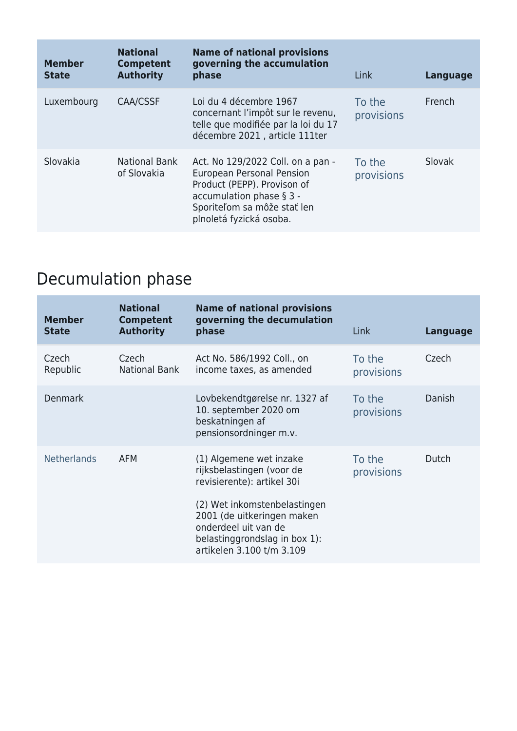| <b>Member</b><br><b>State</b> | <b>National</b><br><b>Competent</b><br><b>Authority</b> | <b>Name of national provisions</b><br>governing the accumulation<br>phase                                                                                                                     | Link                 | Language |
|-------------------------------|---------------------------------------------------------|-----------------------------------------------------------------------------------------------------------------------------------------------------------------------------------------------|----------------------|----------|
| Luxembourg                    | <b>CAA/CSSF</b>                                         | Loi du 4 décembre 1967<br>concernant l'impôt sur le revenu,<br>telle que modifiée par la loi du 17<br>décembre 2021, article 111ter                                                           | To the<br>provisions | French   |
| Slovakia                      | National Bank<br>of Slovakia                            | Act. No 129/2022 Coll. on a pan -<br><b>European Personal Pension</b><br>Product (PEPP). Provison of<br>accumulation phase $\S$ 3 -<br>Sporiteľom sa môže stať len<br>plnoletá fyzická osoba. | To the<br>provisions | Slovak   |

## Decumulation phase

| <b>Member</b><br><b>State</b> | <b>National</b><br><b>Competent</b><br><b>Authority</b> | <b>Name of national provisions</b><br>governing the decumulation<br>phase                                                                                                                                                              | Link                 | <b>Language</b> |
|-------------------------------|---------------------------------------------------------|----------------------------------------------------------------------------------------------------------------------------------------------------------------------------------------------------------------------------------------|----------------------|-----------------|
| Czech<br>Republic             | Czech<br><b>National Bank</b>                           | Act No. 586/1992 Coll., on<br>income taxes, as amended                                                                                                                                                                                 | To the<br>provisions | Czech           |
| <b>Denmark</b>                |                                                         | Lovbekendtgørelse nr. 1327 af<br>10. september 2020 om<br>beskatningen af<br>pensionsordninger m.v.                                                                                                                                    | To the<br>provisions | Danish          |
| <b>Netherlands</b>            | <b>AFM</b>                                              | (1) Algemene wet inzake<br>rijksbelastingen (voor de<br>revisierente): artikel 30i<br>(2) Wet inkomstenbelastingen<br>2001 (de uitkeringen maken<br>onderdeel uit van de<br>belastinggrondslag in box 1):<br>artikelen 3.100 t/m 3.109 | To the<br>provisions | Dutch           |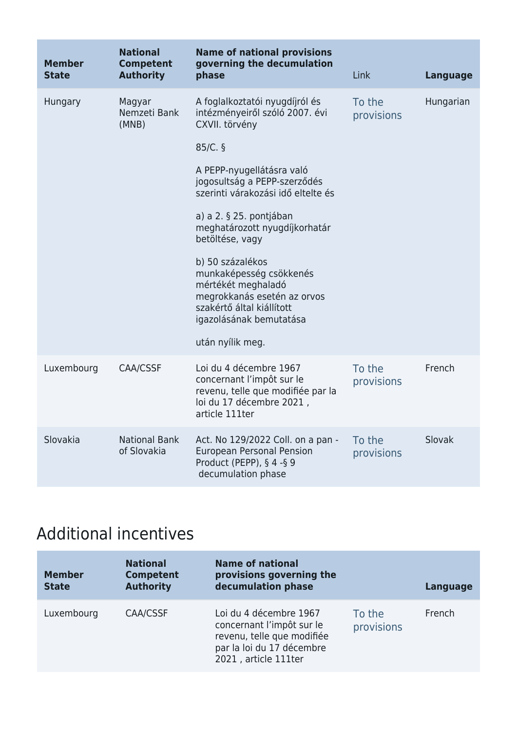| <b>Member</b><br><b>State</b> | <b>National</b><br><b>Competent</b><br><b>Authority</b> | <b>Name of national provisions</b><br>governing the decumulation<br>phase                                                                                | Link                 | <b>Language</b> |
|-------------------------------|---------------------------------------------------------|----------------------------------------------------------------------------------------------------------------------------------------------------------|----------------------|-----------------|
| Hungary                       | Magyar<br>Nemzeti Bank<br>(MNB)                         | A foglalkoztatói nyugdíjról és<br>intézményeiről szóló 2007. évi<br>CXVII. törvény                                                                       | To the<br>provisions | Hungarian       |
|                               |                                                         | $85/C.$ §                                                                                                                                                |                      |                 |
|                               |                                                         | A PEPP-nyugellátásra való<br>jogosultság a PEPP-szerződés<br>szerinti várakozási idő eltelte és                                                          |                      |                 |
|                               |                                                         | a) a 2. § 25. pontjában<br>meghatározott nyugdíjkorhatár<br>betöltése, vagy                                                                              |                      |                 |
|                               |                                                         | b) 50 százalékos<br>munkaképesség csökkenés<br>mértékét meghaladó<br>megrokkanás esetén az orvos<br>szakértő által kiállított<br>igazolásának bemutatása |                      |                 |
|                               |                                                         | után nyílik meg.                                                                                                                                         |                      |                 |
| Luxembourg                    | CAA/CSSF                                                | Loi du 4 décembre 1967<br>concernant l'impôt sur le<br>revenu, telle que modifiée par la<br>loi du 17 décembre 2021,<br>article 111ter                   | To the<br>provisions | French          |
| Slovakia                      | <b>National Bank</b><br>of Slovakia                     | Act. No 129/2022 Coll. on a pan -<br><b>European Personal Pension</b><br>Product (PEPP), § 4 -§ 9<br>decumulation phase                                  | To the<br>provisions | Slovak          |

### Additional incentives

| <b>Member</b><br><b>State</b> | <b>National</b><br><b>Competent</b><br><b>Authority</b> | <b>Name of national</b><br>provisions governing the<br>decumulation phase                                                              |                      | Language |
|-------------------------------|---------------------------------------------------------|----------------------------------------------------------------------------------------------------------------------------------------|----------------------|----------|
| Luxembourg                    | CAA/CSSF                                                | Loi du 4 décembre 1967<br>concernant l'impôt sur le<br>revenu, telle que modifiée<br>par la loi du 17 décembre<br>2021, article 111ter | To the<br>provisions | French   |